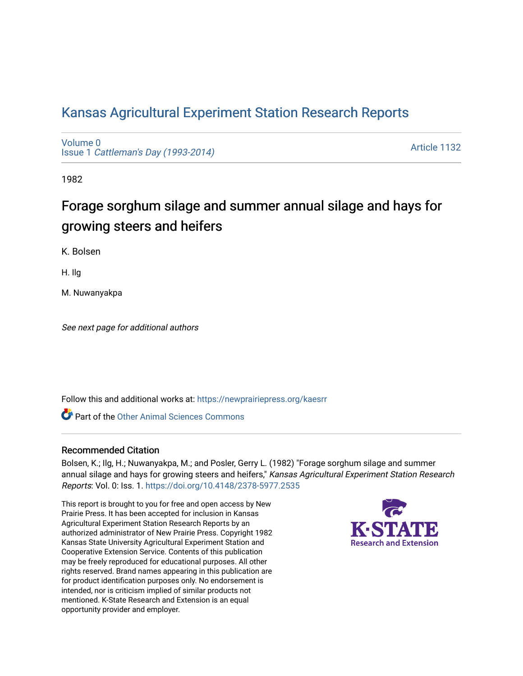## [Kansas Agricultural Experiment Station Research Reports](https://newprairiepress.org/kaesrr)

[Volume 0](https://newprairiepress.org/kaesrr/vol0) Issue 1 [Cattleman's Day \(1993-2014\)](https://newprairiepress.org/kaesrr/vol0/iss1) 

[Article 1132](https://newprairiepress.org/kaesrr/vol0/iss1/1132) 

1982

# Forage sorghum silage and summer annual silage and hays for growing steers and heifers

K. Bolsen

H. Ilg

M. Nuwanyakpa

See next page for additional authors

Follow this and additional works at: [https://newprairiepress.org/kaesrr](https://newprairiepress.org/kaesrr?utm_source=newprairiepress.org%2Fkaesrr%2Fvol0%2Fiss1%2F1132&utm_medium=PDF&utm_campaign=PDFCoverPages) 

**C** Part of the [Other Animal Sciences Commons](http://network.bepress.com/hgg/discipline/82?utm_source=newprairiepress.org%2Fkaesrr%2Fvol0%2Fiss1%2F1132&utm_medium=PDF&utm_campaign=PDFCoverPages)

#### Recommended Citation

Bolsen, K.; Ilg, H.; Nuwanyakpa, M.; and Posler, Gerry L. (1982) "Forage sorghum silage and summer annual silage and hays for growing steers and heifers," Kansas Agricultural Experiment Station Research Reports: Vol. 0: Iss. 1.<https://doi.org/10.4148/2378-5977.2535>

This report is brought to you for free and open access by New Prairie Press. It has been accepted for inclusion in Kansas Agricultural Experiment Station Research Reports by an authorized administrator of New Prairie Press. Copyright 1982 Kansas State University Agricultural Experiment Station and Cooperative Extension Service. Contents of this publication may be freely reproduced for educational purposes. All other rights reserved. Brand names appearing in this publication are for product identification purposes only. No endorsement is intended, nor is criticism implied of similar products not mentioned. K-State Research and Extension is an equal opportunity provider and employer.

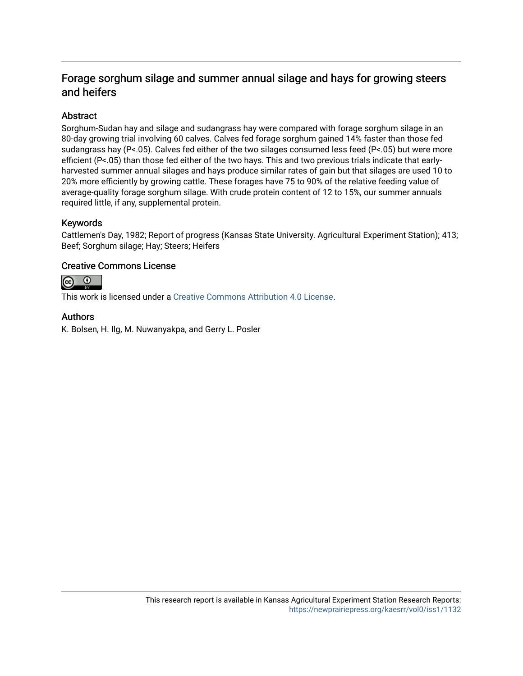## Forage sorghum silage and summer annual silage and hays for growing steers and heifers

## Abstract

Sorghum-Sudan hay and silage and sudangrass hay were compared with forage sorghum silage in an 80-day growing trial involving 60 calves. Calves fed forage sorghum gained 14% faster than those fed sudangrass hay (P<.05). Calves fed either of the two silages consumed less feed (P<.05) but were more efficient (P<.05) than those fed either of the two hays. This and two previous trials indicate that earlyharvested summer annual silages and hays produce similar rates of gain but that silages are used 10 to 20% more efficiently by growing cattle. These forages have 75 to 90% of the relative feeding value of average-quality forage sorghum silage. With crude protein content of 12 to 15%, our summer annuals required little, if any, supplemental protein.

## Keywords

Cattlemen's Day, 1982; Report of progress (Kansas State University. Agricultural Experiment Station); 413; Beef; Sorghum silage; Hay; Steers; Heifers

## Creative Commons License



This work is licensed under a [Creative Commons Attribution 4.0 License](https://creativecommons.org/licenses/by/4.0/).

## Authors

K. Bolsen, H. Ilg, M. Nuwanyakpa, and Gerry L. Posler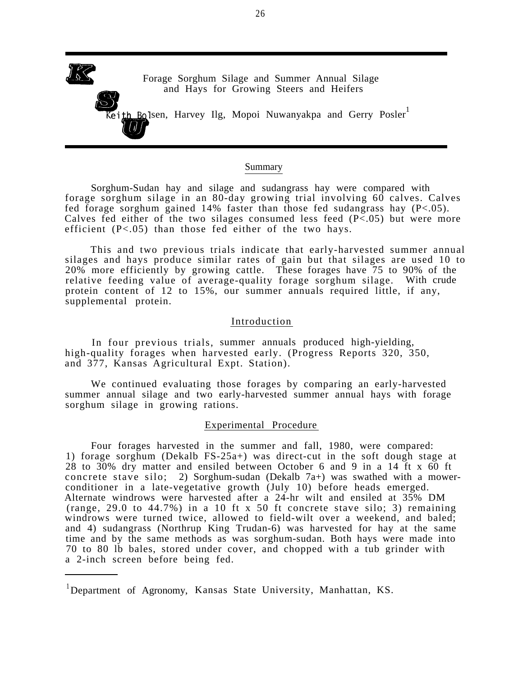

#### Summary

Sorghum-Sudan hay and silage and sudangrass hay were compared with forage sorghum silage in an 80-day growing trial involving 60 calves. Calves fed forage sorghum gained 14% faster than those fed sudangrass hay  $(P<.05)$ . Calves fed either of the two silages consumed less feed  $(P<.05)$  but were more efficient  $(P<.05)$  than those fed either of the two hays.

This and two previous trials indicate that early-harvested summer annual silages and hays produce similar rates of gain but that silages are used 10 to 20% more efficiently by growing cattle. These forages have 75 to 90% of the relative feeding value of average-quality forage sorghum silage. With crude protein content of 12 to 15%, our summer annuals required little, if any, supplemental protein.

#### Introduction

In four previous trials, summer annuals produced high-yielding, high-quality forages when harvested early. (Progress Reports 320, 350, and 377, Kansas Agricultural Expt. Station).

We continued evaluating those forages by comparing an early-harvested summer annual silage and two early-harvested summer annual hays with forage sorghum silage in growing rations.

#### Experimental Procedure

Four forages harvested in the summer and fall, 1980, were compared: 1) forage sorghum (Dekalb FS-25a+) was direct-cut in the soft dough stage at 28 to 30% dry matter and ensiled between October 6 and 9 in a 14 ft x 60 ft concrete stave silo; 2) Sorghum-sudan (Dekalb 7a+) was swathed with a mowerconditioner in a late-vegetative growth (July 10) before heads emerged. Alternate windrows were harvested after a 24-hr wilt and ensiled at 35% DM (range, 29.0 to 44.7%) in a 10 ft x 50 ft concrete stave silo; 3) remaining windrows were turned twice, allowed to field-wilt over a weekend, and baled; and 4) sudangrass (Northrup King Trudan-6) was harvested for hay at the same time and by the same methods as was sorghum-sudan. Both hays were made into 70 to 80 lb bales, stored under cover, and chopped with a tub grinder with a 2-inch screen before being fed.

<sup>1</sup>Department of Agronomy, Kansas State University, Manhattan, KS.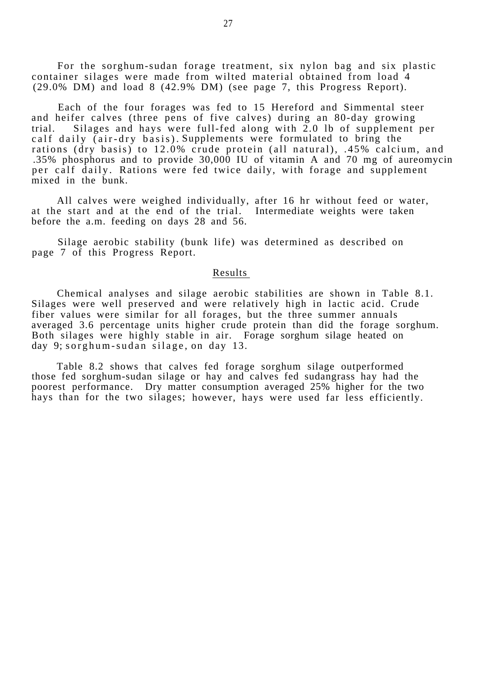For the sorghum-sudan forage treatment, six nylon bag and six plastic container silages were made from wilted material obtained from load 4 (29.0% DM) and load 8 (42.9% DM) (see page 7, this Progress Report).

Each of the four forages was fed to 15 Hereford and Simmental steer and heifer calves (three pens of five calves) during an 80-day growing trial. Silages and hays were full-fed along with 2.0 lb of supplement per calf daily (air-dry basis). Supplements were formulated to bring the rations (dry basis) to 12.0% crude protein (all natural), .45% calcium, and .35% phosphorus and to provide 30,000 IU of vitamin A and 70 mg of aureomycin per calf daily. Rations were fed twice daily, with forage and supplement mixed in the bunk.

All calves were weighed individually, after 16 hr without feed or water, at the start and at the end of the trial. Intermediate weights were taken before the a.m. feeding on days 28 and 56.

Silage aerobic stability (bunk life) was determined as described on page 7 of this Progress Report.

#### Results

Chemical analyses and silage aerobic stabilities are shown in Table 8.1. Silages were well preserved and were relatively high in lactic acid. Crude fiber values were similar for all forages, but the three summer annuals averaged 3.6 percentage units higher crude protein than did the forage sorghum. Both silages were highly stable in air. Forage sorghum silage heated on day 9; sorghum-sudan silage, on day 13.

Table 8.2 shows that calves fed forage sorghum silage outperformed those fed sorghum-sudan silage or hay and calves fed sudangrass hay had the poorest performance. Dry matter consumption averaged 25% higher for the two hays than for the two silages; however, hays were used far less efficiently.